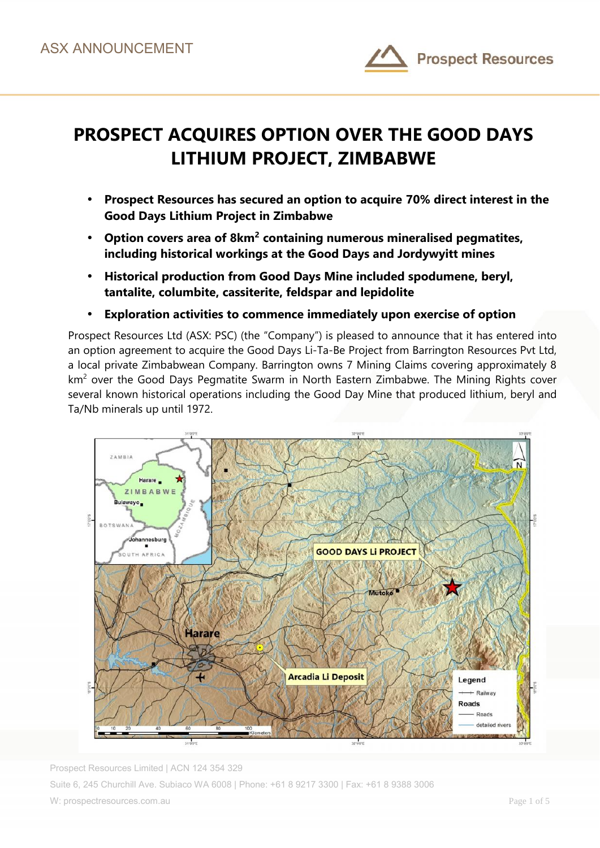

# **PROSPECT ACQUIRES OPTION OVER THE GOOD DAYS LITHIUM PROJECT, ZIMBABWE**

- **Prospect Resources has secured an option to acquire 70% direct interest in the Good Days Lithium Project in Zimbabwe**
- **Option covers area of 8km<sup>2</sup> containing numerous mineralised pegmatites, including historical workings at the Good Days and Jordywyitt mines**
- **Historical production from Good Days Mine included spodumene, beryl, tantalite, columbite, cassiterite, feldspar and lepidolite**
- **Exploration activities to commence immediately upon exercise of option**

Prospect Resources Ltd (ASX: PSC) (the "Company") is pleased to announce that it has entered into an option agreement to acquire the Good Days Li-Ta-Be Project from Barrington Resources Pvt Ltd, a local private Zimbabwean Company. Barrington owns 7 Mining Claims covering approximately 8 km<sup>2</sup> over the Good Days Pegmatite Swarm in North Eastern Zimbabwe. The Mining Rights cover several known historical operations including the Good Day Mine that produced lithium, beryl and Ta/Nb minerals up until 1972.



Prospect Resources Limited | ACN 124 354 329 Suite 6, 245 Churchill Ave. Subiaco WA 6008 | Phone: +61 8 9217 3300 | Fax: +61 8 9388 3006 W: prospectresources.com.au Page 1 of 5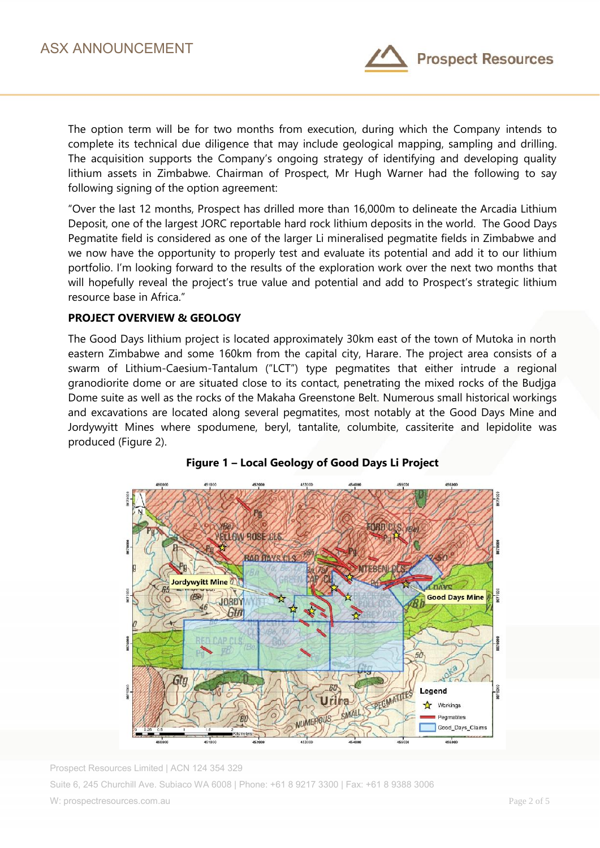

The option term will be for two months from execution, during which the Company intends to complete its technical due diligence that may include geological mapping, sampling and drilling. The acquisition supports the Company's ongoing strategy of identifying and developing quality lithium assets in Zimbabwe. Chairman of Prospect, Mr Hugh Warner had the following to say following signing of the option agreement:

"Over the last 12 months, Prospect has drilled more than 16,000m to delineate the Arcadia Lithium Deposit, one of the largest JORC reportable hard rock lithium deposits in the world. The Good Days Pegmatite field is considered as one of the larger Li mineralised pegmatite fields in Zimbabwe and we now have the opportunity to properly test and evaluate its potential and add it to our lithium portfolio. I'm looking forward to the results of the exploration work over the next two months that will hopefully reveal the project's true value and potential and add to Prospect's strategic lithium resource base in Africa."

## **PROJECT OVERVIEW & GEOLOGY**

The Good Days lithium project is located approximately 30km east of the town of Mutoka in north eastern Zimbabwe and some 160km from the capital city, Harare. The project area consists of a swarm of Lithium-Caesium-Tantalum ("LCT") type pegmatites that either intrude a regional granodiorite dome or are situated close to its contact, penetrating the mixed rocks of the Budjga Dome suite as well as the rocks of the Makaha Greenstone Belt. Numerous small historical workings and excavations are located along several pegmatites, most notably at the Good Days Mine and Jordywyitt Mines where spodumene, beryl, tantalite, columbite, cassiterite and lepidolite was produced (Figure 2).



## **Figure 1 – Local Geology of Good Days Li Project**

Prospect Resources Limited | ACN 124 354 329 Suite 6, 245 Churchill Ave. Subiaco WA 6008 | Phone: +61 8 9217 3300 | Fax: +61 8 9388 3006 W: prospectresources.com.au Page 2 of 5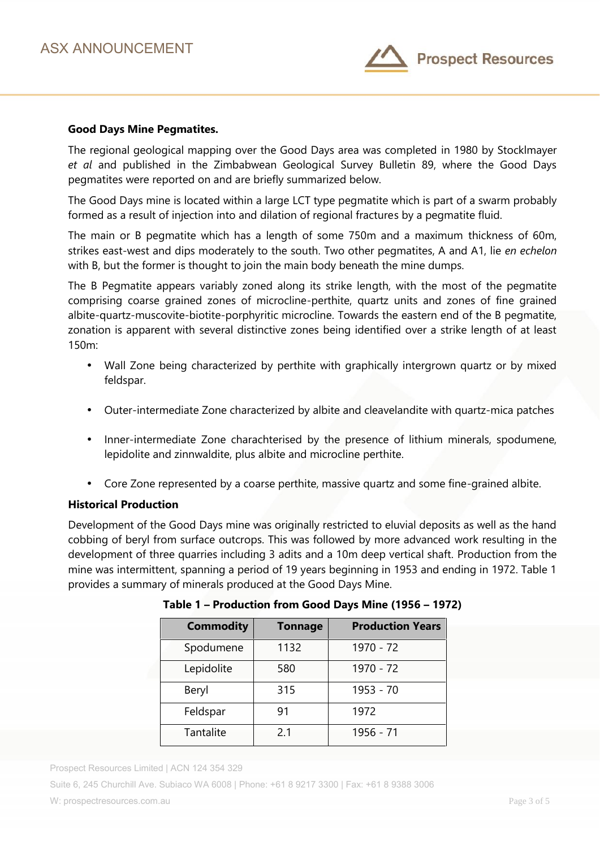

#### **Good Days Mine Pegmatites.**

The regional geological mapping over the Good Days area was completed in 1980 by Stocklmayer *et al* and published in the Zimbabwean Geological Survey Bulletin 89, where the Good Days pegmatites were reported on and are briefly summarized below.

The Good Days mine is located within a large LCT type pegmatite which is part of a swarm probably formed as a result of injection into and dilation of regional fractures by a pegmatite fluid.

The main or B pegmatite which has a length of some 750m and a maximum thickness of 60m, strikes east-west and dips moderately to the south. Two other pegmatites, A and A1, lie *en echelon* with B, but the former is thought to join the main body beneath the mine dumps.

The B Pegmatite appears variably zoned along its strike length, with the most of the pegmatite comprising coarse grained zones of microcline-perthite, quartz units and zones of fine grained albite-quartz-muscovite-biotite-porphyritic microcline. Towards the eastern end of the B pegmatite, zonation is apparent with several distinctive zones being identified over a strike length of at least 150m:

- Wall Zone being characterized by perthite with graphically intergrown quartz or by mixed feldspar.
- Outer-intermediate Zone characterized by albite and cleavelandite with quartz-mica patches
- Inner-intermediate Zone charachterised by the presence of lithium minerals, spodumene, lepidolite and zinnwaldite, plus albite and microcline perthite.
- Core Zone represented by a coarse perthite, massive quartz and some fine-grained albite.

### **Historical Production**

Development of the Good Days mine was originally restricted to eluvial deposits as well as the hand cobbing of beryl from surface outcrops. This was followed by more advanced work resulting in the development of three quarries including 3 adits and a 10m deep vertical shaft. Production from the mine was intermittent, spanning a period of 19 years beginning in 1953 and ending in 1972. Table 1 provides a summary of minerals produced at the Good Days Mine.

| <b>Tonnage</b> | <b>Production Years</b> |
|----------------|-------------------------|
| 1132           | 1970 - 72               |
| 580            | 1970 - 72               |
| 315            | 1953 - 70               |
| 91             | 1972                    |
| 2.1            | 1956 - 71               |
|                |                         |

**Table 1 – Production from Good Days Mine (1956 – 1972)**

Prospect Resources Limited | ACN 124 354 329

Suite 6, 245 Churchill Ave. Subiaco WA 6008 | Phone: +61 8 9217 3300 | Fax: +61 8 9388 3006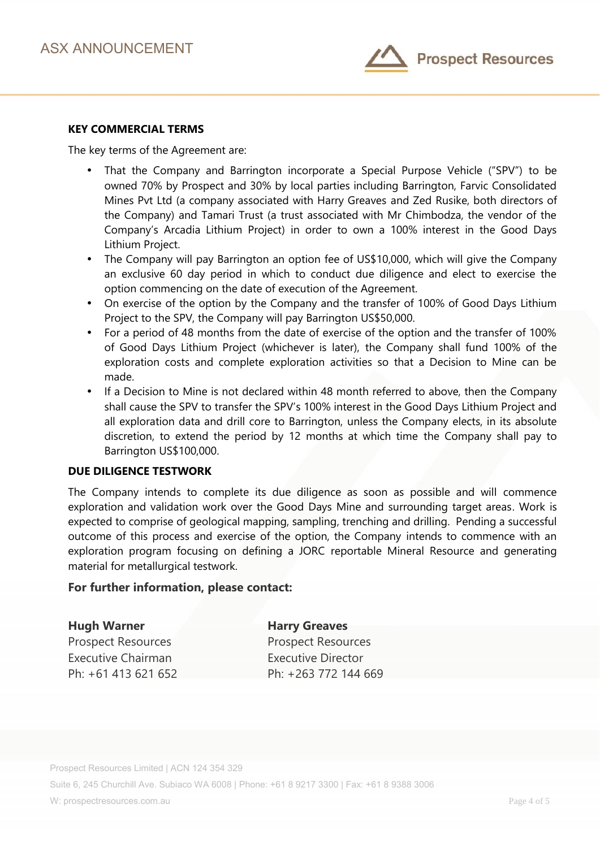

## **KEY COMMERCIAL TERMS**

The key terms of the Agreement are:

- That the Company and Barrington incorporate a Special Purpose Vehicle ("SPV") to be owned 70% by Prospect and 30% by local parties including Barrington, Farvic Consolidated Mines Pvt Ltd (a company associated with Harry Greaves and Zed Rusike, both directors of the Company) and Tamari Trust (a trust associated with Mr Chimbodza, the vendor of the Company's Arcadia Lithium Project) in order to own a 100% interest in the Good Days Lithium Project.
- The Company will pay Barrington an option fee of US\$10,000, which will give the Company an exclusive 60 day period in which to conduct due diligence and elect to exercise the option commencing on the date of execution of the Agreement.
- On exercise of the option by the Company and the transfer of 100% of Good Days Lithium Project to the SPV, the Company will pay Barrington US\$50,000.
- For a period of 48 months from the date of exercise of the option and the transfer of 100% of Good Days Lithium Project (whichever is later), the Company shall fund 100% of the exploration costs and complete exploration activities so that a Decision to Mine can be made.
- If a Decision to Mine is not declared within 48 month referred to above, then the Company shall cause the SPV to transfer the SPV's 100% interest in the Good Days Lithium Project and all exploration data and drill core to Barrington, unless the Company elects, in its absolute discretion, to extend the period by 12 months at which time the Company shall pay to Barrington US\$100,000.

# **DUE DILIGENCE TESTWORK**

The Company intends to complete its due diligence as soon as possible and will commence exploration and validation work over the Good Days Mine and surrounding target areas. Work is expected to comprise of geological mapping, sampling, trenching and drilling. Pending a successful outcome of this process and exercise of the option, the Company intends to commence with an exploration program focusing on defining a JORC reportable Mineral Resource and generating material for metallurgical testwork.

#### **For further information, please contact:**

Prospect Resources **Prospect Resources** Executive Chairman **Executive Director** 

**Hugh Warner Harry Greaves**

Ph: +61 413 621 652 Ph: +263 772 144 669